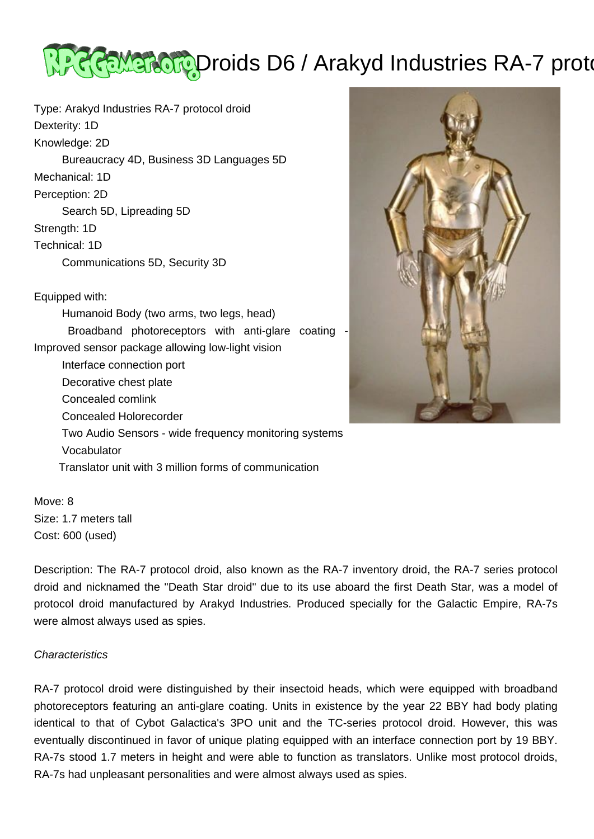

Type: Arakyd Industries RA-7 protocol droid Dexterity: 1D Knowledge: 2D Bureaucracy 4D, Business 3D Languages 5D Mechanical: 1D Perception: 2D Search 5D, Lipreading 5D Strength: 1D Technical: 1D Communications 5D, Security 3D Equipped with:

 Humanoid Body (two arms, two legs, head) Broadband photoreceptors with anti-glare coating - Improved sensor package allowing low-light vision Interface connection port Decorative chest plate Concealed comlink Concealed Holorecorder Two Audio Sensors - wide frequency monitoring systems Vocabulator Translator unit with 3 million forms of communication



Move: 8 Size: 1.7 meters tall Cost: 600 (used)

Description: The RA-7 protocol droid, also known as the RA-7 inventory droid, the RA-7 series protocol droid and nicknamed the "Death Star droid" due to its use aboard the first Death Star, was a model of protocol droid manufactured by Arakyd Industries. Produced specially for the Galactic Empire, RA-7s were almost always used as spies.

## **Characteristics**

RA-7 protocol droid were distinguished by their insectoid heads, which were equipped with broadband photoreceptors featuring an anti-glare coating. Units in existence by the year 22 BBY had body plating identical to that of Cybot Galactica's 3PO unit and the TC-series protocol droid. However, this was eventually discontinued in favor of unique plating equipped with an interface connection port by 19 BBY. RA-7s stood 1.7 meters in height and were able to function as translators. Unlike most protocol droids, RA-7s had unpleasant personalities and were almost always used as spies.